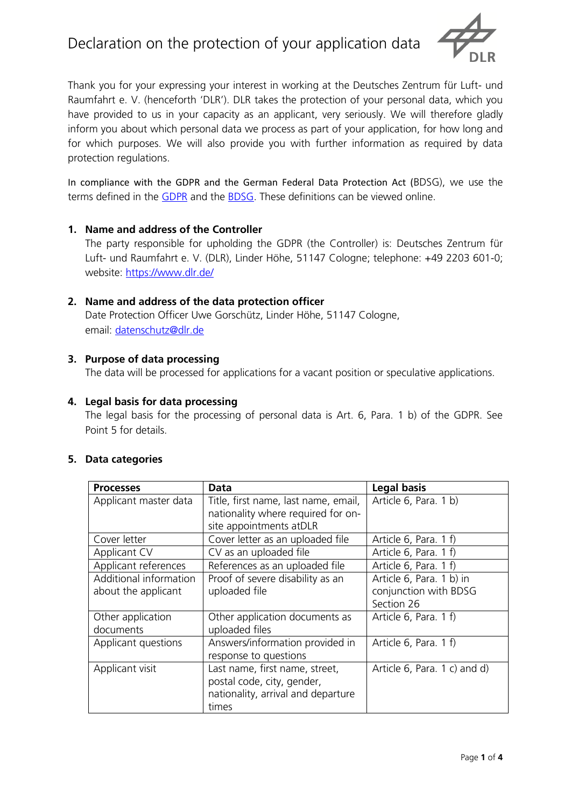

Thank you for your expressing your interest in working at the Deutsches Zentrum für Luft- und Raumfahrt e. V. (henceforth 'DLR'). DLR takes the protection of your personal data, which you have provided to us in your capacity as an applicant, very seriously. We will therefore gladly inform you about which personal data we process as part of your application, for how long and for which purposes. We will also provide you with further information as required by data protection regulations.

In compliance with the GDPR and the German Federal Data Protection Act (BDSG), we use the terms defined in the [GDPR](https://eur-lex.europa.eu/legal-content/DE/TXT/?uri=OJ:L:2016:119:TOC) and the [BDSG.](http://www.gesetze-im-internet.de/bdsg_2018/__2.html) These definitions can be viewed online.

#### **1. Name and address of the Controller**

The party responsible for upholding the GDPR (the Controller) is: Deutsches Zentrum für Luft- und Raumfahrt e. V. (DLR), Linder Höhe, 51147 Cologne; telephone: +49 2203 601-0; website:<https://www.dlr.de/>

### **2. Name and address of the data protection officer**

Date Protection Officer Uwe Gorschütz, Linder Höhe, 51147 Cologne, email: [datenschutz@dlr.de](mailto:datenschutz@dlr.de)

### **3. Purpose of data processing**

The data will be processed for applications for a vacant position or speculative applications.

#### **4. Legal basis for data processing**

The legal basis for the processing of personal data is Art. 6, Para. 1 b) of the GDPR. See Point 5 for details.

### **5. Data categories**

| <b>Processes</b>                              | <b>Data</b>                                                                                                 | <b>Legal basis</b>                                              |
|-----------------------------------------------|-------------------------------------------------------------------------------------------------------------|-----------------------------------------------------------------|
| Applicant master data                         | Title, first name, last name, email,<br>nationality where required for on-<br>site appointments atDLR       | Article 6, Para. 1 b)                                           |
| Cover letter                                  | Cover letter as an uploaded file                                                                            | Article 6, Para. 1 f)                                           |
| <b>Applicant CV</b>                           | CV as an uploaded file                                                                                      | Article 6, Para. 1 f)                                           |
| Applicant references                          | References as an uploaded file                                                                              | Article 6, Para. 1 f)                                           |
| Additional information<br>about the applicant | Proof of severe disability as an<br>uploaded file                                                           | Article 6, Para. 1 b) in<br>conjunction with BDSG<br>Section 26 |
| Other application<br>documents                | Other application documents as<br>uploaded files                                                            | Article 6, Para. 1 f)                                           |
| Applicant questions                           | Answers/information provided in<br>response to questions                                                    | Article 6, Para. 1 f)                                           |
| Applicant visit                               | Last name, first name, street,<br>postal code, city, gender,<br>nationality, arrival and departure<br>times | Article 6, Para. 1 c) and d)                                    |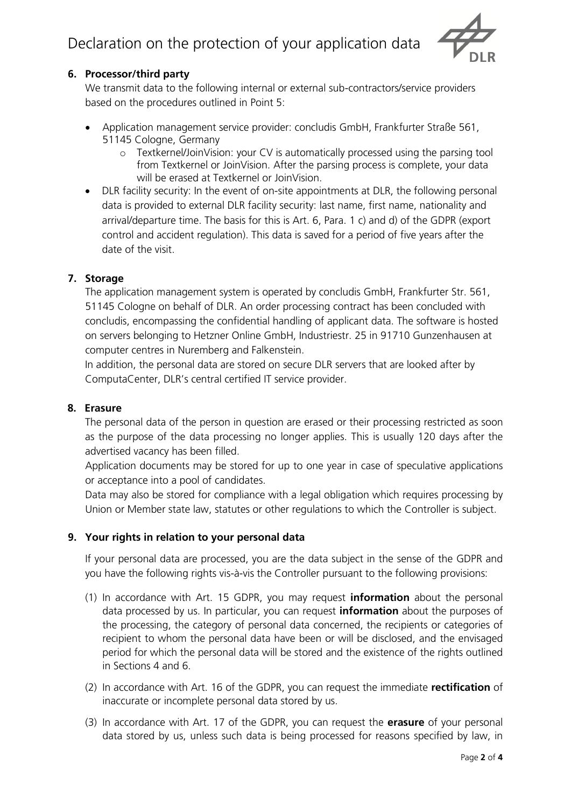

# **6. Processor/third party**

We transmit data to the following internal or external sub-contractors/service providers based on the procedures outlined in Point 5:

- Application management service provider: concludis GmbH, Frankfurter Straße 561, 51145 Cologne, Germany
	- o Textkernel/JoinVision: your CV is automatically processed using the parsing tool from Textkernel or JoinVision. After the parsing process is complete, your data will be erased at Textkernel or JoinVision.
- DLR facility security: In the event of on-site appointments at DLR, the following personal data is provided to external DLR facility security: last name, first name, nationality and arrival/departure time. The basis for this is Art. 6, Para. 1 c) and d) of the GDPR (export control and accident regulation). This data is saved for a period of five years after the date of the visit.

# **7. Storage**

The application management system is operated by concludis GmbH, Frankfurter Str. 561, 51145 Cologne on behalf of DLR. An order processing contract has been concluded with concludis, encompassing the confidential handling of applicant data. The software is hosted on servers belonging to Hetzner Online GmbH, Industriestr. 25 in 91710 Gunzenhausen at computer centres in Nuremberg and Falkenstein.

In addition, the personal data are stored on secure DLR servers that are looked after by ComputaCenter, DLR's central certified IT service provider.

#### **8. Erasure**

The personal data of the person in question are erased or their processing restricted as soon as the purpose of the data processing no longer applies. This is usually 120 days after the advertised vacancy has been filled.

Application documents may be stored for up to one year in case of speculative applications or acceptance into a pool of candidates.

Data may also be stored for compliance with a legal obligation which requires processing by Union or Member state law, statutes or other regulations to which the Controller is subject.

# **9. Your rights in relation to your personal data**

If your personal data are processed, you are the data subject in the sense of the GDPR and you have the following rights vis-à-vis the Controller pursuant to the following provisions:

- (1) In accordance with Art. 15 GDPR, you may request **information** about the personal data processed by us. In particular, you can request **information** about the purposes of the processing, the category of personal data concerned, the recipients or categories of recipient to whom the personal data have been or will be disclosed, and the envisaged period for which the personal data will be stored and the existence of the rights outlined in Sections 4 and 6.
- (2) In accordance with Art. 16 of the GDPR, you can request the immediate **rectification** of inaccurate or incomplete personal data stored by us.
- (3) In accordance with Art. 17 of the GDPR, you can request the **erasure** of your personal data stored by us, unless such data is being processed for reasons specified by law, in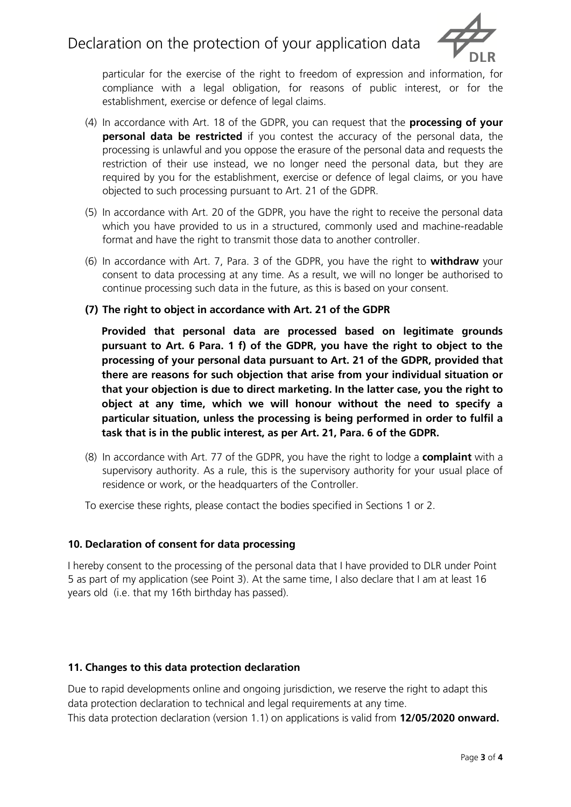

particular for the exercise of the right to freedom of expression and information, for compliance with a legal obligation, for reasons of public interest, or for the establishment, exercise or defence of legal claims.

- (4) In accordance with Art. 18 of the GDPR, you can request that the **processing of your personal data be restricted** if you contest the accuracy of the personal data, the processing is unlawful and you oppose the erasure of the personal data and requests the restriction of their use instead, we no longer need the personal data, but they are required by you for the establishment, exercise or defence of legal claims, or you have objected to such processing pursuant to Art. 21 of the GDPR.
- (5) In accordance with Art. 20 of the GDPR, you have the right to receive the personal data which you have provided to us in a structured, commonly used and machine-readable format and have the right to transmit those data to another controller.
- (6) In accordance with Art. 7, Para. 3 of the GDPR, you have the right to **withdraw** your consent to data processing at any time. As a result, we will no longer be authorised to continue processing such data in the future, as this is based on your consent.
- **(7) The right to object in accordance with Art. 21 of the GDPR**

**Provided that personal data are processed based on legitimate grounds pursuant to Art. 6 Para. 1 f) of the GDPR, you have the right to object to the processing of your personal data pursuant to Art. 21 of the GDPR, provided that there are reasons for such objection that arise from your individual situation or that your objection is due to direct marketing. In the latter case, you the right to object at any time, which we will honour without the need to specify a particular situation, unless the processing is being performed in order to fulfil a task that is in the public interest, as per Art. 21, Para. 6 of the GDPR.**

(8) In accordance with Art. 77 of the GDPR, you have the right to lodge a **complaint** with a supervisory authority. As a rule, this is the supervisory authority for your usual place of residence or work, or the headquarters of the Controller.

To exercise these rights, please contact the bodies specified in Sections 1 or 2.

# **10. Declaration of consent for data processing**

I hereby consent to the processing of the personal data that I have provided to DLR under Point 5 as part of my application (see Point 3). At the same time, I also declare that I am at least 16 years old (i.e. that my 16th birthday has passed).

# **11. Changes to this data protection declaration**

Due to rapid developments online and ongoing jurisdiction, we reserve the right to adapt this data protection declaration to technical and legal requirements at any time. This data protection declaration (version 1.1) on applications is valid from **12/05/2020 onward.**